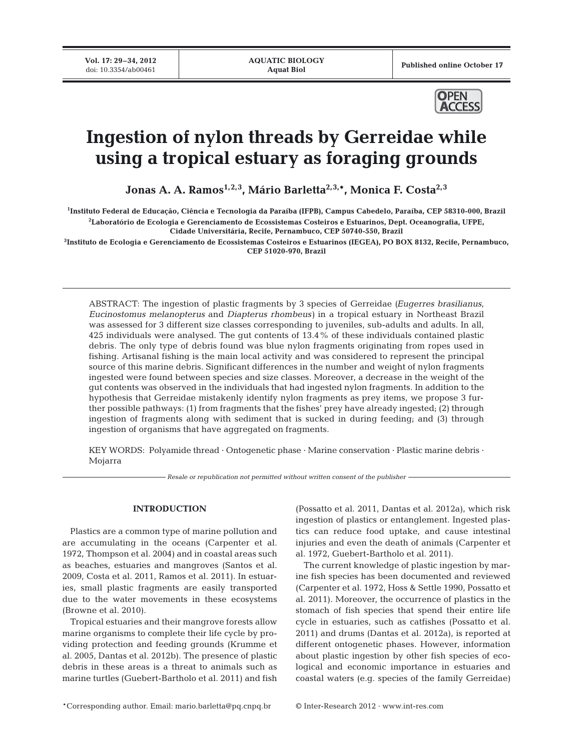**Vol. 17: 29-34, 2012**<br>doi: 10.3354/ab00461

Published online October 17



# **Ingestion of nylon threads by Gerreidae while using a tropical estuary as foraging grounds**

Jonas A. A. Ramos<sup>1,2,3</sup>, Mário Barletta<sup>2,3,\*</sup>, Monica F. Costa<sup>2,3</sup>

**1 Instituto Federal de Educação, Ciência e Tecnologia da Paraíba (IFPB), Campus Cabedelo, Paraíba, CEP 58310-000, Brazil 2 Laboratório de Ecologia e Gerenciamento de Ecossistemas Costeiros e Estuarinos, Dept. Oceanografia, UFPE, Cidade Universitária, Recife, Pernambuco, CEP 50740-550, Brazil**

**3 Instituto de Ecologia e Gerenciamento de Ecossistemas Costeiros e Estuarinos (IEGEA), PO BOX 8132, Recife, Pernambuco, CEP 51020-970, Brazil**

ABSTRACT: The ingestion of plastic fragments by 3 species of Gerreidae *(Eugerres brasilianus*, *Eucinostomus melanopterus* and *Diapterus rhombeus)* in a tropical estuary in Northeast Brazil was assessed for 3 different size classes corresponding to juveniles, sub-adults and adults. In all, 425 individuals were analysed. The gut contents of 13.4% of these individuals contained plastic debris. The only type of debris found was blue nylon fragments originating from ropes used in fishing. Artisanal fishing is the main local activity and was considered to represent the principal source of this marine debris. Significant differences in the number and weight of nylon fragments ingested were found between species and size classes. Moreover, a decrease in the weight of the gut contents was observed in the individuals that had ingested nylon fragments. In addition to the hypothesis that Gerreidae mistakenly identify nylon fragments as prey items, we propose 3 further possible pathways: (1) from fragments that the fishes' prey have already ingested; (2) through ingestion of fragments along with sediment that is sucked in during feeding; and  $(3)$  through ingestion of organisms that have aggregated on fragments.

KEY WORDS: Polyamide thread · Ontogenetic phase · Marine conservation · Plastic marine debris · Mojarra

*Resale or republication not permitted without written consent of the publisher*

## **INTRODUCTION**

Plastics are a common type of marine pollution and are accumulating in the oceans (Carpenter et al. 1972, Thompson et al. 2004) and in coastal areas such as beaches, estuaries and mangroves (Santos et al. 2009, Costa et al. 2011, Ramos et al. 2011). In estuaries, small plastic fragments are easily transported due to the water movements in these ecosystems (Browne et al. 2010).

Tropical estuaries and their mangrove forests allow marine organisms to complete their life cycle by providing protection and feeding grounds (Krumme et al. 2005, Dantas et al. 2012b). The presence of plastic debris in these areas is a threat to animals such as marine turtles (Guebert-Bartholo et al. 2011) and fish (Possatto et al. 2011, Dantas et al. 2012a), which risk ingestion of plastics or entanglement. Ingested plastics can reduce food uptake, and cause intestinal injuries and even the death of animals (Carpenter et al. 1972, Guebert-Bartholo et al. 2011).

The current knowledge of plastic ingestion by marine fish species has been documented and reviewed (Carpenter et al. 1972, Hoss & Settle 1990, Possatto et al. 2011). Moreover, the occurrence of plastics in the stomach of fish species that spend their entire life cycle in estuaries, such as catfishes (Possatto et al. 2011) and drums (Dantas et al. 2012a), is reported at different ontogenetic phases. However, information about plastic ingestion by other fish species of ecological and economic importance in estuaries and coastal waters (e.g. species of the family Gerreidae)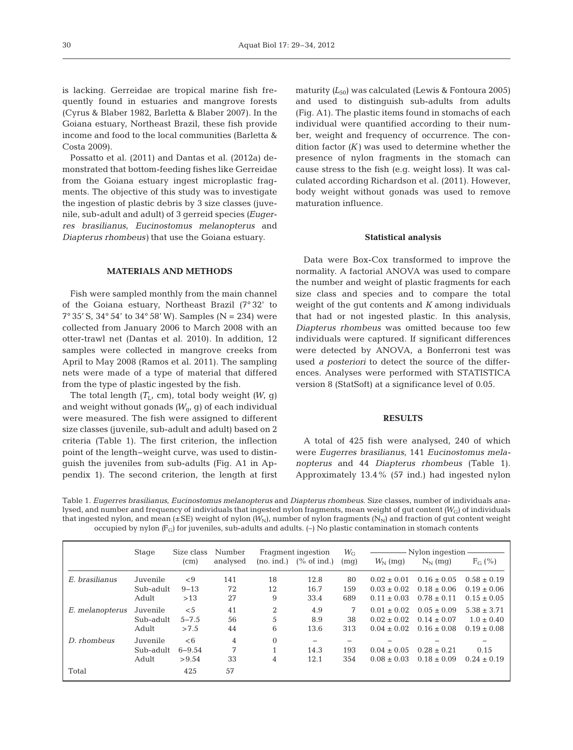is lacking. Gerreidae are tropical marine fish frequently found in estuaries and mangrove forests (Cyrus & Blaber 1982, Barletta & Blaber 2007). In the Goiana estuary, Northeast Brazil, these fish provide income and food to the local communities (Barletta & Costa 2009).

Possatto et al. (2011) and Dantas et al. (2012a) de monstrated that bottom-feeding fishes like Gerreidae from the Goiana estuary ingest microplastic fragments. The objective of this study was to investigate the ingestion of plastic debris by 3 size classes (juvenile, sub-adult and adult) of 3 gerreid species *(Eugerres brasilianus*, *Eucinostomus melanopterus* and *Diapterus rhombeus)* that use the Goiana estuary.

### **MATERIALS AND METHODS**

Fish were sampled monthly from the main channel of the Goiana estuary, Northeast Brazil (7° 32' to 7° 35′ S, 34° 54′ to 34° 58′ W). Samples (N = 234) were collected from January 2006 to March 2008 with an otter-trawl net (Dantas et al. 2010). In addition, 12 samples were collected in mangrove creeks from April to May 2008 (Ramos et al. 2011). The sampling nets were made of a type of material that differed from the type of plastic ingested by the fish.

The total length *(T*L, cm), total body weight *(W*, g) and weight without gonads ( $W_{\text{qr}}$  g) of each individual were measured. The fish were assigned to different size classes (juvenile, sub-adult and adult) based on 2 criteria (Table 1). The first criterion, the inflection point of the length−weight curve, was used to distinguish the juveniles from sub-adults (Fig. A1 in Appendix 1). The second criterion, the length at first

maturity  $(L_{50})$  was calculated (Lewis & Fontoura 2005) and used to distinguish sub-adults from adults (Fig. A1). The plastic items found in stomachs of each individual were quantified according to their number, weight and frequency of occurrence. The condition factor *(K)* was used to determine whether the presence of nylon fragments in the stomach can cause stress to the fish (e.g. weight loss). It was cal culated according Richardson et al. (2011). However, body weight without gonads was used to remove maturation influence.

### **Statistical analysis**

Data were Box-Cox transformed to improve the normality. A factorial ANOVA was used to compare the number and weight of plastic fragments for each size class and species and to compare the total weight of the gut contents and *K* among individuals that had or not ingested plastic. In this analysis, *Diapterus rhombeus* was omitted because too few individuals were captured. If significant differences were detected by ANOVA, a Bonferroni test was used *a posteriori* to detect the source of the differences. Analyses were performed with STATISTICA version 8 (StatSoft) at a significance level of 0.05.

#### **RESULTS**

A total of 425 fish were analysed, 240 of which were *Eugerres brasilianus*, 141 *Eucinostomus mela no pterus* and 44 *Diapterus rhombeus* (Table 1). Approximately 13.4% (57 ind.) had ingested nylon

Table 1. *Eugerres brasilianus*, *Eucinostomus melanopterus* and *Diapterus rhombeus*. Size classes, number of individuals analysed, and number and frequency of individuals that ingested nylon fragments, mean weight of gut content *(W<sub>G</sub>)* of individuals that ingested nylon, and mean ( $\pm$ SE) weight of nylon *(W<sub>N</sub>)*, number of nylon fragments ( $N_N$ ) and fraction of gut content weight occupied by nylon  $(F_G)$  for juveniles, sub-adults and adults.  $(-)$  No plastic contamination in stomach contents

|                 | Stage     | Size class | Number   | Fragment ingestion |                          | $W_{\rm G}$ | Nylon ingestion - |                 |                 |
|-----------------|-----------|------------|----------|--------------------|--------------------------|-------------|-------------------|-----------------|-----------------|
|                 |           | (cm)       | analysed | (no. ind.)         | $\frac{9}{6}$ of ind.)   | (mq)        | $W_N$ (mq)        | $N_{N}$ (mq)    | $F_G (\%)$      |
| E. brasilianus  | Juvenile  | $\leq 9$   | 141      | 18                 | 12.8                     | 80          | $0.02 \pm 0.01$   | $0.16 \pm 0.05$ | $0.58 \pm 0.19$ |
|                 | Sub-adult | $9 - 13$   | 72       | 12                 | 16.7                     | 159         | $0.03 \pm 0.02$   | $0.18 \pm 0.06$ | $0.19 \pm 0.06$ |
|                 | Adult     | >13        | 27       | 9                  | 33.4                     | 689         | $0.11 \pm 0.03$   | $0.78 \pm 0.11$ | $0.15 \pm 0.05$ |
| E. melanopterus | Juvenile  | $\leq 5$   | 41       | $\overline{2}$     | 4.9                      | 7           | $0.01 \pm 0.02$   | $0.05 \pm 0.09$ | $5.38 \pm 3.71$ |
|                 | Sub-adult | $5 - 7.5$  | 56       | 5                  | 8.9                      | 38          | $0.02 \pm 0.02$   | $0.14 + 0.07$   | $1.0 \pm 0.40$  |
|                 | Adult     | >7.5       | 44       | 6                  | 13.6                     | 313         | $0.04 \pm 0.02$   | $0.16 \pm 0.08$ | $0.19 \pm 0.08$ |
| D. rhombeus     | Juvenile  | <6         | 4        | $\Omega$           | $\overline{\phantom{0}}$ |             |                   |                 |                 |
|                 | Sub-adult | $6 - 9.54$ | 7        |                    | 14.3                     | 193         | $0.04 \pm 0.05$   | $0.28 \pm 0.21$ | 0.15            |
|                 | Adult     | > 9.54     | 33       | 4                  | 12.1                     | 354         | $0.08 \pm 0.03$   | $0.18 \pm 0.09$ | $0.24 \pm 0.19$ |
| Total           |           | 425        | 57       |                    |                          |             |                   |                 |                 |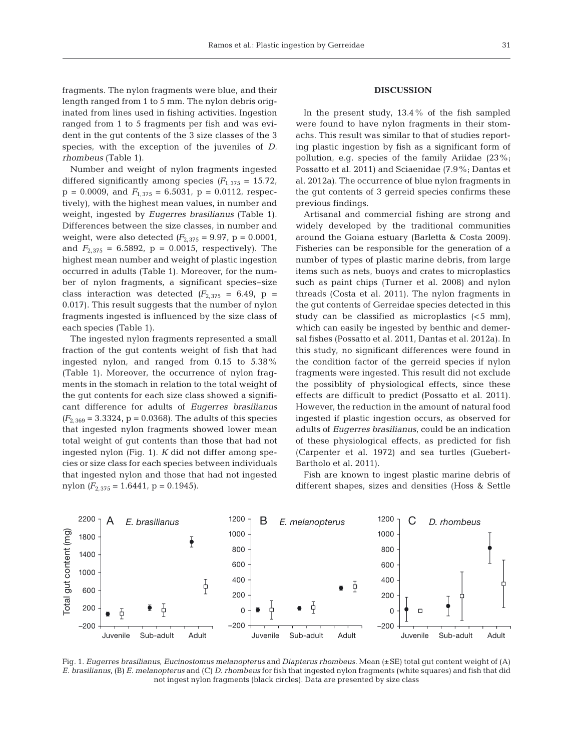fragments. The nylon fragments were blue, and their length ranged from 1 to 5 mm. The nylon debris originated from lines used in fishing activities. Ingestion ranged from 1 to 5 fragments per fish and was evident in the gut contents of the 3 size classes of the 3 species, with the exception of the juveniles of *D. rhombeus* (Table 1).

Number and weight of nylon fragments ingested differed significantly among species  $(F_{1,375} = 15.72)$ ,  $p = 0.0009$ , and  $F_{1,375} = 6.5031$ ,  $p = 0.0112$ , respectively), with the highest mean values, in number and weight, ingested by *Eugerres brasilianus* (Table 1). Differences between the size classes, in number and weight, were also detected  $(F_{2,375} = 9.97, p = 0.0001,$ and  $F_{2,375} = 6.5892$ ,  $p = 0.0015$ , respectively). The highest mean number and weight of plastic ingestion occurred in adults (Table 1). Moreover, for the number of nylon fragments, a significant species−size class interaction was detected  $(F_{2,375} = 6.49, p =$ 0.017). This result suggests that the number of nylon fragments ingested is influenced by the size class of each species (Table 1).

The ingested nylon fragments represented a small fraction of the gut contents weight of fish that had ingested nylon, and ranged from 0.15 to 5.38% (Table 1). Moreover, the occurrence of nylon fragments in the stomach in relation to the total weight of the gut contents for each size class showed a significant difference for adults of *Eugerres brasilianus*  $(F_{2,369} = 3.3324, p = 0.0368)$ . The adults of this species that ingested nylon fragments showed lower mean total weight of gut contents than those that had not ingested nylon (Fig. 1). *K* did not differ among species or size class for each species between individuals that ingested nylon and those that had not ingested nylon  $(F_{2,375} = 1.6441, p = 0.1945)$ .

## **DISCUSSION**

In the present study, 13.4% of the fish sampled were found to have nylon fragments in their stomachs. This result was similar to that of studies reporting plastic ingestion by fish as a significant form of pollution, e.g. species of the family Ariidae (23%; Possatto et al. 2011) and Sciaenidae (7.9%; Dantas et al. 2012a). The occurrence of blue nylon fragments in the gut contents of 3 gerreid species confirms these previous findings.

Artisanal and commercial fishing are strong and widely developed by the traditional communities around the Goiana estuary (Barletta & Costa 2009). Fisheries can be responsible for the generation of a number of types of plastic marine debris, from large items such as nets, buoys and crates to microplastics such as paint chips (Turner et al. 2008) and nylon threads (Costa et al. 2011). The nylon fragments in the gut contents of Gerreidae species detected in this study can be classified as microplastics  $( $5 \text{ mm}$ ),$ which can easily be ingested by benthic and demersal fishes (Possatto et al. 2011, Dantas et al. 2012a). In this study, no significant differences were found in the condition factor of the gerreid species if nylon fragments were ingested. This result did not exclude the possiblity of physiological effects, since these effects are difficult to predict (Possatto et al. 2011). However, the reduction in the amount of natural food ingested if plastic ingestion occurs, as observed for adults of *Eugerres brasilianus*, could be an indication of these physiological effects, as predicted for fish (Carpenter et al. 1972) and sea turtles (Guebert-Bartholo et al. 2011).

Fish are known to ingest plastic marine debris of different shapes, sizes and densities (Hoss & Settle



Fig. 1. *Eugerres brasilianus*, *Eucinostomus melanopterus* and *Diapterus rhombeus*. Mean (±SE) total gut content weight of (A) *E. brasilianus*, (B) *E. melanopterus* and (C) *D. rhombeus* for fish that ingested nylon fragments (white squares) and fish that did not ingest nylon fragments (black circles). Data are presented by size class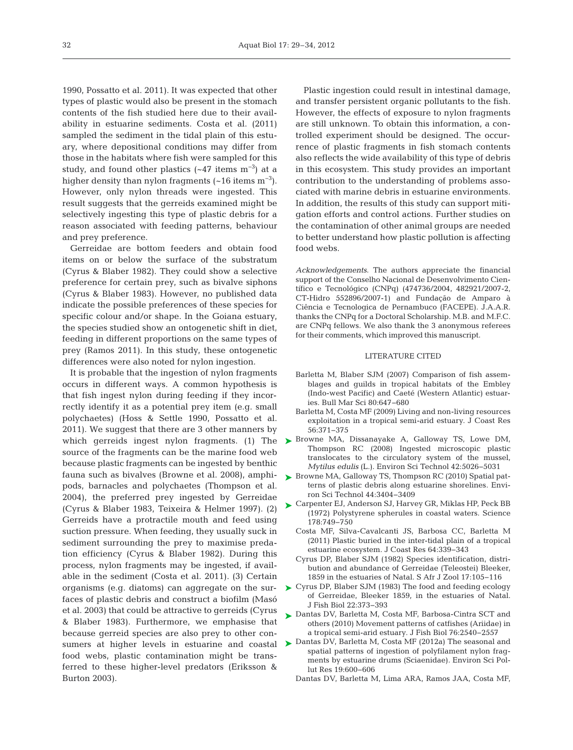1990, Possatto et al. 2011). It was expected that other types of plastic would also be present in the stomach contents of the fish studied here due to their availability in estuarine sediments. Costa et al. (2011) sampled the sediment in the tidal plain of this estuary, where depositional conditions may differ from those in the habitats where fish were sampled for this study, and found other plastics  $(-47 \text{ items m}^{-3})$  at a higher density than nylon fragments  $(-16$  items m<sup>-3</sup>). However, only nylon threads were ingested. This result suggests that the gerreids examined might be selectively ingesting this type of plastic debris for a reason associated with feeding patterns, behaviour and prey preference.

Gerreidae are bottom feeders and obtain food items on or below the surface of the substratum (Cyrus & Blaber 1982). They could show a selective preference for certain prey, such as bivalve siphons (Cyrus & Blaber 1983). However, no published data indicate the possible preferences of these species for specific colour and/or shape. In the Goiana estuary, the species studied show an ontogenetic shift in diet, feeding in different proportions on the same types of prey (Ramos 2011). In this study, these ontogenetic differences were also noted for nylon ingestion.

It is probable that the ingestion of nylon fragments occurs in different ways. A common hypothesis is that fish ingest nylon during feeding if they incorrectly identify it as a potential prey item (e.g. small polychaetes) (Hoss & Settle 1990, Possatto et al. 2011). We suggest that there are 3 other manners by which gerreids ingest nylon fragments. (1) The > Browne MA, Dissanayake A, Galloway TS, Lowe DM, source of the fragments can be the marine food web because plastic fragments can be ingested by benthic fauna such as bivalves (Browne et al. 2008), amphipods, barnacles and polychaetes (Thompson et al. 2004), the preferred prey ingested by Gerreidae (Cyrus & Blaber 1983, Teixeira & Helmer 1997). (2) Gerreids have a protractile mouth and feed using suction pressure. When feeding, they usually suck in sediment surrounding the prey to maximise predation efficiency (Cyrus & Blaber 1982). During this process, nylon fragments may be ingested, if available in the sediment (Costa et al. 2011). (3) Certain organisms (e.g. diatoms) can aggregate on the surfaces of plastic debris and construct a biofilm (Masó et al. 2003) that could be attractive to gerreids (Cyrus & Blaber 1983). Furthermore, we emphasise that because gerreid species are also prey to other confood webs, plastic contamination might be transferred to these higher-level predators (Eriksson & Burton 2003).

Plastic ingestion could result in intestinal damage, and transfer persistent organic pollutants to the fish. However, the effects of exposure to nylon fragments are still unknown. To obtain this information, a controlled experiment should be designed. The occurrence of plastic fragments in fish stomach contents also reflects the wide availability of this type of debris in this ecosystem. This study provides an important contribution to the understanding of problems associated with marine debris in estuarine environments. In addition, the results of this study can support mitigation efforts and control actions. Further studies on the contamination of other animal groups are needed to better understand how plastic pollution is affecting food webs.

*Acknowledgements*. The authors appreciate the financial support of the Conselho Nacional de Desenvolvimento Científico e Tecnológico (CNPq) (474736/2004, 482921/2007-2, CT-Hidro 552896/2007-1) and Fundação de Amparo à Ciência e Tecnologica de Pernambuco (FACEPE). J.A.A.R. thanks the CNPq for a Doctoral Scholarship. M.B. and M.F.C. are CNPq fellows. We also thank the 3 anonymous referees for their comments, which improved this manuscript.

#### LITERATURE CITED

- Barletta M, Blaber SJM (2007) Comparison of fish assemblages and guilds in tropical habitats of the Embley (Indo-west Pacific) and Caeté (Western Atlantic) estuaries. Bull Mar Sci 80:647-680
- Barletta M, Costa MF (2009) Living and non-living resources exploitation in a tropical semi-arid estuary. J Coast Res 56: 371−375
- Thompson RC (2008) Ingested microscopic plastic translocates to the circulatory system of the mussel, *Mytilus edulis* (L.). Environ Sci Technol 42:5026-5031
- ▶ Browne MA, Galloway TS, Thompson RC (2010) Spatial patterns of plastic debris along estuarine shorelines. Environ Sci Technol 44: 3404−3409
- ► Carpenter EJ, Anderson SJ, Harvey GR, Miklas HP, Peck BB (1972) Polystyrene spherules in coastal waters. Science 178: 749−750
	- Costa MF, Silva-Cavalcanti JS, Barbosa CC, Barletta M (2011) Plastic buried in the inter-tidal plain of a tropical estuarine ecosystem. J Coast Res 64:339-343
	- Cyrus DP, Blaber SJM (1982) Species identification, distribution and abundance of Gerreidae (Teleostei) Bleeker, 1859 in the estuaries of Natal. S Afr J Zool 17: 105−116
- ► Cyrus DP, Blaber SJM (1983) The food and feeding ecology of Gerreidae, Bleeker 1859, in the estuaries of Natal. J Fish Biol 22: 373−393
- ▶ Dantas DV, Barletta M, Costa MF, Barbosa-Cintra SCT and others (2010) Movement patterns of catfishes (Ariidae) in a tropical semi-arid estuary. J Fish Biol 76: 2540−2557
- sumers at higher levels in estuarine and coastal > Dantas DV, Barletta M, Costa MF (2012a) The seasonal and spatial patterns of ingestion of polyfilament nylon fragments by estuarine drums (Sciaenidae). Environ Sci Pollut Res 19:600-606
	- Dantas DV, Barletta M, Lima ARA, Ramos JAA, Costa MF,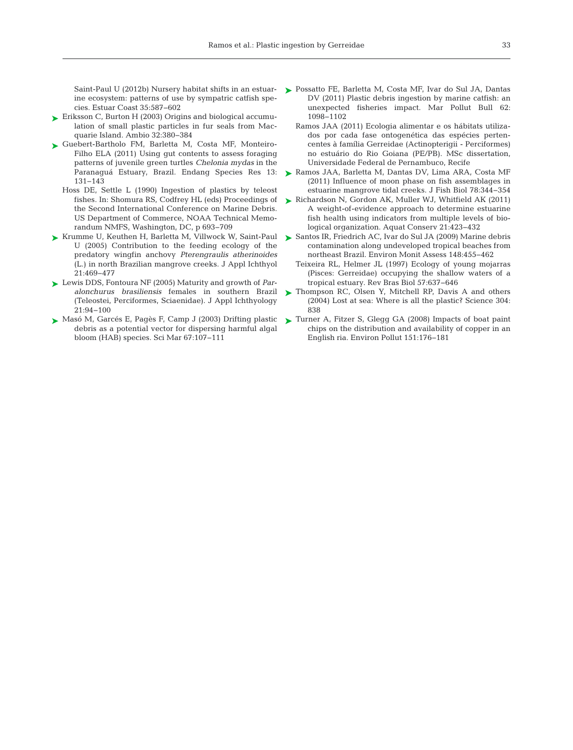ine ecosystem: patterns of use by sympatric catfish species. Estuar Coast 35: 587−602

- ► Eriksson C, Burton H (2003) Origins and biological accumulation of small plastic particles in fur seals from Macquarie Island. Ambio 32: 380−384
- ► Guebert-Bartholo FM, Barletta M, Costa MF, Monteiro-Filho ELA (2011) Using gut contents to assess foraging patterns of juvenile green turtles *Chelonia mydas* in the Paranaguá Estuary, Brazil. Endang Species Res 13: 131−143
	- Hoss DE, Settle L (1990) Ingestion of plastics by teleost fishes. In: Shomura RS, Codfrey HL (eds) Proceedings of the Second International Conference on Marine Debris. US Department of Commerce, NOAA Technical Memorandum NMFS, Washington, DC, p 693−709
- ► Krumme U, Keuthen H, Barletta M, Villwock W, Saint-Paul ► Santos IR, Friedrich AC, Ivar do Sul JA (2009) Marine debris U (2005) Contribution to the feeding ecology of the predatory wingfin anchovy *Pterengraulis atherinoides* (L.) in north Brazilian mangrove creeks. J Appl Ichthyol 21: 469−477
- Lewis DDS, Fontoura NF (2005) Maturity and growth of *Par-*➤ *alonchurus brasiliensis* females in southern Brazil (Teleostei, Perciformes, Sciaenidae). J Appl Ichthyology 21: 94−100
- Masó M, Garcés E, Pagès F, Camp J (2003) Drifting plastic ➤ debris as a potential vector for dispersing harmful algal bloom (HAB) species. Sci Mar 67: 107−111
- Saint-Paul U (2012b) Nursery habitat shifts in an estuar-Possatto FE, Barletta M, Costa MF, Ivar do Sul JA, Dantas ➤ DV (2011) Plastic debris ingestion by marine catfish: an un expected fisheries impact. Mar Pollut Bull 62: 1098−1102
	- Ramos JAA (2011) Ecologia alimentar e os hábitats utilizados por cada fase ontogenética das espécies pertencentes à família Gerreidae (Actinopterigii - Perciformes) no estuário do Rio Goiana (PE/PB). MSc dissertation, Universidade Federal de Pernambuco, Recife
	- Ramos JAA, Barletta M, Dantas DV, Lima ARA, Costa MF ➤ (2011) Influence of moon phase on fish assemblages in estuarine mangrove tidal creeks. J Fish Biol 78: 344−354
	- ► Richardson N, Gordon AK, Muller WJ, Whitfield AK (2011) A weight-of-evidence approach to determine estuarine fish health using indicators from multiple levels of biological organization. Aquat Conserv 21:423-432
	- contamination along undeveloped tropical beaches from northeast Brazil. Environ Monit Assess 148:455-462
	- Teixeira RL, Helmer JL (1997) Ecology of young mojarras (Pisces:Gerreidae) occupying the shallow waters of a tropical estuary. Rev Bras Biol 57: 637−646
	- ▶ Thompson RC, Olsen Y, Mitchell RP, Davis A and others (2004) Lost at sea:Where is all the plastic? Science 304: 838
	- Turner A, Fitzer S, Glegg GA (2008) Impacts of boat paint ➤chips on the distribution and availability of copper in an English ria. Environ Pollut 151: 176−181